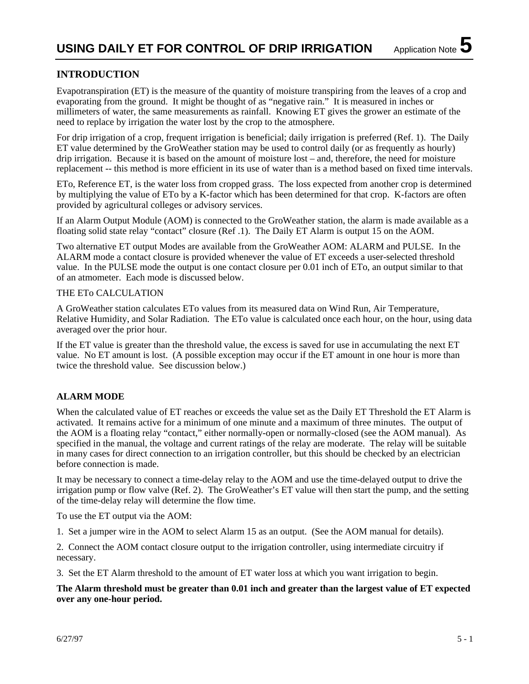# **INTRODUCTION**

Evapotranspiration (ET) is the measure of the quantity of moisture transpiring from the leaves of a crop and evaporating from the ground. It might be thought of as "negative rain." It is measured in inches or millimeters of water, the same measurements as rainfall. Knowing ET gives the grower an estimate of the need to replace by irrigation the water lost by the crop to the atmosphere.

For drip irrigation of a crop, frequent irrigation is beneficial; daily irrigation is preferred (Ref. 1). The Daily ET value determined by the GroWeather station may be used to control daily (or as frequently as hourly) drip irrigation. Because it is based on the amount of moisture lost – and, therefore, the need for moisture replacement -- this method is more efficient in its use of water than is a method based on fixed time intervals.

ETo, Reference ET, is the water loss from cropped grass. The loss expected from another crop is determined by multiplying the value of ETo by a K-factor which has been determined for that crop. K-factors are often provided by agricultural colleges or advisory services.

If an Alarm Output Module (AOM) is connected to the GroWeather station, the alarm is made available as a floating solid state relay "contact" closure (Ref .1). The Daily ET Alarm is output 15 on the AOM.

Two alternative ET output Modes are available from the GroWeather AOM: ALARM and PULSE. In the ALARM mode a contact closure is provided whenever the value of ET exceeds a user-selected threshold value. In the PULSE mode the output is one contact closure per 0.01 inch of ETo, an output similar to that of an atmometer. Each mode is discussed below.

#### THE ETo CALCULATION

A GroWeather station calculates ETo values from its measured data on Wind Run, Air Temperature, Relative Humidity, and Solar Radiation. The ETo value is calculated once each hour, on the hour, using data averaged over the prior hour.

If the ET value is greater than the threshold value, the excess is saved for use in accumulating the next ET value. No ET amount is lost. (A possible exception may occur if the ET amount in one hour is more than twice the threshold value. See discussion below.)

## **ALARM MODE**

When the calculated value of ET reaches or exceeds the value set as the Daily ET Threshold the ET Alarm is activated. It remains active for a minimum of one minute and a maximum of three minutes. The output of the AOM is a floating relay "contact," either normally-open or normally-closed (see the AOM manual). As specified in the manual, the voltage and current ratings of the relay are moderate. The relay will be suitable in many cases for direct connection to an irrigation controller, but this should be checked by an electrician before connection is made.

It may be necessary to connect a time-delay relay to the AOM and use the time-delayed output to drive the irrigation pump or flow valve (Ref. 2). The GroWeather's ET value will then start the pump, and the setting of the time-delay relay will determine the flow time.

To use the ET output via the AOM:

1. Set a jumper wire in the AOM to select Alarm 15 as an output. (See the AOM manual for details).

2. Connect the AOM contact closure output to the irrigation controller, using intermediate circuitry if necessary.

3. Set the ET Alarm threshold to the amount of ET water loss at which you want irrigation to begin.

**The Alarm threshold must be greater than 0.01 inch and greater than the largest value of ET expected over any one-hour period.**